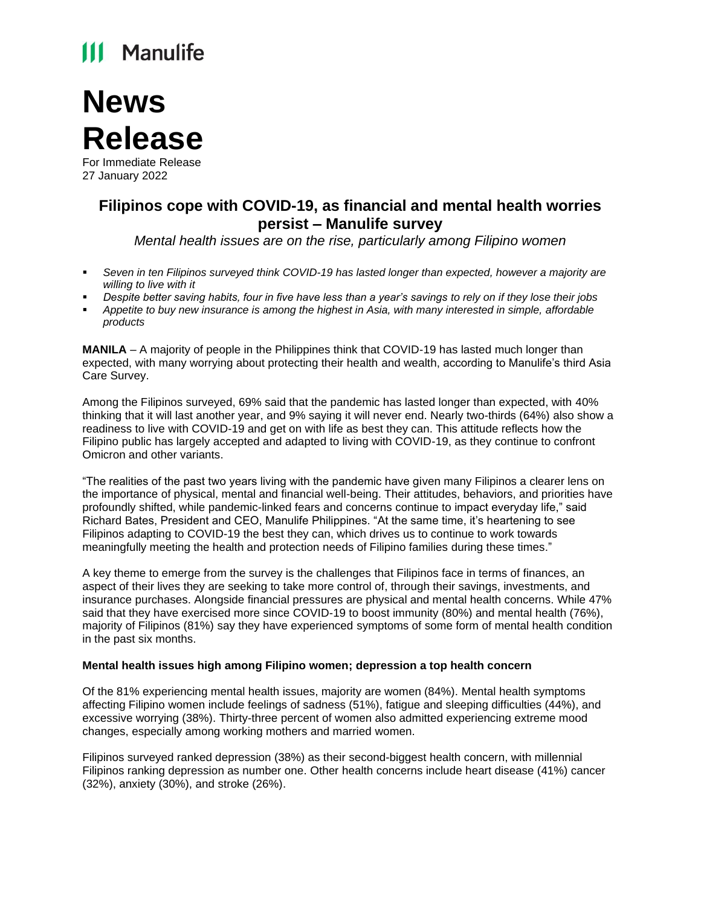## **111 Manulife**

# **News Release**

For Immediate Release 27 January 2022

### **Filipinos cope with COVID-19, as financial and mental health worries persist – Manulife survey**

*Mental health issues are on the rise, particularly among Filipino women*

- Seven in ten Filipinos surveyed think COVID-19 has lasted longer than expected, however a majority are *willing to live with it*
- *Despite better saving habits, four in five have less than a year's savings to rely on if they lose their jobs*
- *Appetite to buy new insurance is among the highest in Asia, with many interested in simple, affordable products*

**MANILA** – A majority of people in the Philippines think that COVID-19 has lasted much longer than expected, with many worrying about protecting their health and wealth, according to Manulife's third Asia Care Survey.

Among the Filipinos surveyed, 69% said that the pandemic has lasted longer than expected, with 40% thinking that it will last another year, and 9% saying it will never end. Nearly two-thirds (64%) also show a readiness to live with COVID-19 and get on with life as best they can. This attitude reflects how the Filipino public has largely accepted and adapted to living with COVID-19, as they continue to confront Omicron and other variants.

"The realities of the past two years living with the pandemic have given many Filipinos a clearer lens on the importance of physical, mental and financial well-being. Their attitudes, behaviors, and priorities have profoundly shifted, while pandemic-linked fears and concerns continue to impact everyday life," said Richard Bates, President and CEO, Manulife Philippines. "At the same time, it's heartening to see Filipinos adapting to COVID-19 the best they can, which drives us to continue to work towards meaningfully meeting the health and protection needs of Filipino families during these times."

A key theme to emerge from the survey is the challenges that Filipinos face in terms of finances, an aspect of their lives they are seeking to take more control of, through their savings, investments, and insurance purchases. Alongside financial pressures are physical and mental health concerns. While 47% said that they have exercised more since COVID-19 to boost immunity (80%) and mental health (76%), majority of Filipinos (81%) say they have experienced symptoms of some form of mental health condition in the past six months.

#### **Mental health issues high among Filipino women; depression a top health concern**

Of the 81% experiencing mental health issues, majority are women (84%). Mental health symptoms affecting Filipino women include feelings of sadness (51%), fatigue and sleeping difficulties (44%), and excessive worrying (38%). Thirty-three percent of women also admitted experiencing extreme mood changes, especially among working mothers and married women.

Filipinos surveyed ranked depression (38%) as their second-biggest health concern, with millennial Filipinos ranking depression as number one. Other health concerns include heart disease (41%) cancer (32%), anxiety (30%), and stroke (26%).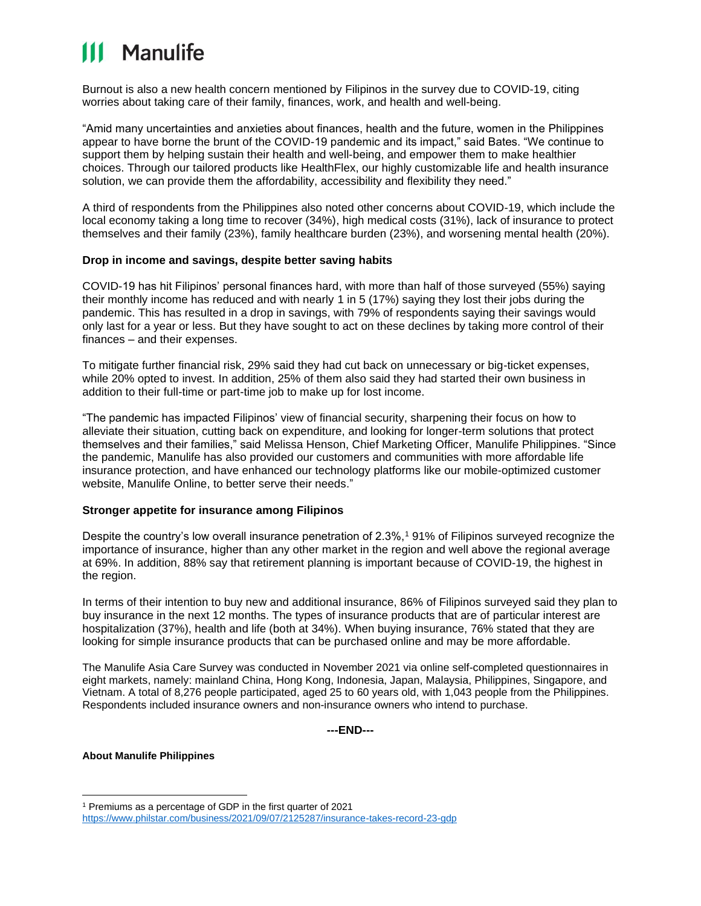## **111 Manulife**

Burnout is also a new health concern mentioned by Filipinos in the survey due to COVID-19, citing worries about taking care of their family, finances, work, and health and well-being.

"Amid many uncertainties and anxieties about finances, health and the future, women in the Philippines appear to have borne the brunt of the COVID-19 pandemic and its impact," said Bates. "We continue to support them by helping sustain their health and well-being, and empower them to make healthier choices. Through our tailored products like HealthFlex, our highly customizable life and health insurance solution, we can provide them the affordability, accessibility and flexibility they need."

A third of respondents from the Philippines also noted other concerns about COVID-19, which include the local economy taking a long time to recover (34%), high medical costs (31%), lack of insurance to protect themselves and their family (23%), family healthcare burden (23%), and worsening mental health (20%).

#### **Drop in income and savings, despite better saving habits**

COVID-19 has hit Filipinos' personal finances hard, with more than half of those surveyed (55%) saying their monthly income has reduced and with nearly 1 in 5 (17%) saying they lost their jobs during the pandemic. This has resulted in a drop in savings, with 79% of respondents saying their savings would only last for a year or less. But they have sought to act on these declines by taking more control of their finances – and their expenses.

To mitigate further financial risk, 29% said they had cut back on unnecessary or big-ticket expenses, while 20% opted to invest. In addition, 25% of them also said they had started their own business in addition to their full-time or part-time job to make up for lost income.

"The pandemic has impacted Filipinos' view of financial security, sharpening their focus on how to alleviate their situation, cutting back on expenditure, and looking for longer-term solutions that protect themselves and their families," said Melissa Henson, Chief Marketing Officer, Manulife Philippines. "Since the pandemic, Manulife has also provided our customers and communities with more affordable life insurance protection, and have enhanced our technology platforms like our mobile-optimized customer website, Manulife Online, to better serve their needs."

#### **Stronger appetite for insurance among Filipinos**

Despite the country's low overall insurance penetration of 2.3%,<sup>1</sup> 91% of Filipinos surveyed recognize the importance of insurance, higher than any other market in the region and well above the regional average at 69%. In addition, 88% say that retirement planning is important because of COVID-19, the highest in the region.

In terms of their intention to buy new and additional insurance, 86% of Filipinos surveyed said they plan to buy insurance in the next 12 months. The types of insurance products that are of particular interest are hospitalization (37%), health and life (both at 34%). When buying insurance, 76% stated that they are looking for simple insurance products that can be purchased online and may be more affordable.

The Manulife Asia Care Survey was conducted in November 2021 via online self-completed questionnaires in eight markets, namely: mainland China, Hong Kong, Indonesia, Japan, Malaysia, Philippines, Singapore, and Vietnam. A total of 8,276 people participated, aged 25 to 60 years old, with 1,043 people from the Philippines. Respondents included insurance owners and non-insurance owners who intend to purchase.

**---END---**

#### **About Manulife Philippines**

<sup>1</sup> Premiums as a percentage of GDP in the first quarter of 2021 <https://www.philstar.com/business/2021/09/07/2125287/insurance-takes-record-23-gdp>